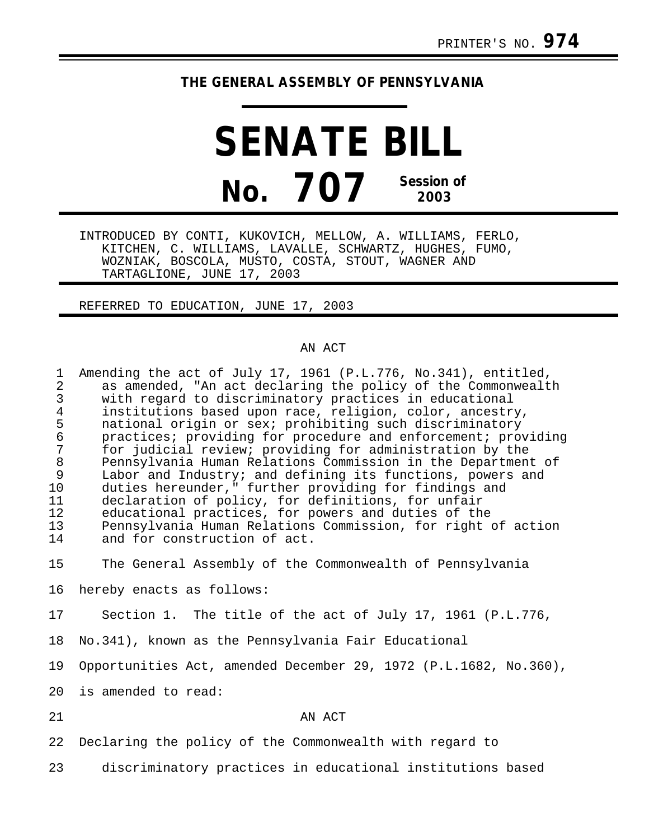## **THE GENERAL ASSEMBLY OF PENNSYLVANIA**

**SENATE BILL No. 707 Session of 2003**

INTRODUCED BY CONTI, KUKOVICH, MELLOW, A. WILLIAMS, FERLO, KITCHEN, C. WILLIAMS, LAVALLE, SCHWARTZ, HUGHES, FUMO, WOZNIAK, BOSCOLA, MUSTO, COSTA, STOUT, WAGNER AND TARTAGLIONE, JUNE 17, 2003

REFERRED TO EDUCATION, JUNE 17, 2003

## AN ACT

| 1<br>$\overline{2}$<br>$\mathfrak{Z}$<br>$\overline{4}$<br>5<br>$\epsilon$<br>$\overline{7}$<br>$\,8\,$<br>9<br>10<br>11<br>12<br>13<br>14 | Amending the act of July 17, 1961 (P.L.776, No.341), entitled,<br>as amended, "An act declaring the policy of the Commonwealth<br>with regard to discriminatory practices in educational<br>institutions based upon race, religion, color, ancestry,<br>national origin or sex; prohibiting such discriminatory<br>practices; providing for procedure and enforcement; providing<br>for judicial review; providing for administration by the<br>Pennsylvania Human Relations Commission in the Department of<br>Labor and Industry; and defining its functions, powers and<br>duties hereunder," further providing for findings and<br>declaration of policy, for definitions, for unfair<br>educational practices, for powers and duties of the<br>Pennsylvania Human Relations Commission, for right of action<br>and for construction of act. |
|--------------------------------------------------------------------------------------------------------------------------------------------|--------------------------------------------------------------------------------------------------------------------------------------------------------------------------------------------------------------------------------------------------------------------------------------------------------------------------------------------------------------------------------------------------------------------------------------------------------------------------------------------------------------------------------------------------------------------------------------------------------------------------------------------------------------------------------------------------------------------------------------------------------------------------------------------------------------------------------------------------|
| 15                                                                                                                                         | The General Assembly of the Commonwealth of Pennsylvania                                                                                                                                                                                                                                                                                                                                                                                                                                                                                                                                                                                                                                                                                                                                                                                         |
| 16                                                                                                                                         | hereby enacts as follows:                                                                                                                                                                                                                                                                                                                                                                                                                                                                                                                                                                                                                                                                                                                                                                                                                        |
| 17                                                                                                                                         | Section 1. The title of the act of July 17, 1961 (P.L.776,                                                                                                                                                                                                                                                                                                                                                                                                                                                                                                                                                                                                                                                                                                                                                                                       |
| 18                                                                                                                                         | No.341), known as the Pennsylvania Fair Educational                                                                                                                                                                                                                                                                                                                                                                                                                                                                                                                                                                                                                                                                                                                                                                                              |
| 19                                                                                                                                         | Opportunities Act, amended December 29, 1972 (P.L.1682, No.360),                                                                                                                                                                                                                                                                                                                                                                                                                                                                                                                                                                                                                                                                                                                                                                                 |
| 20                                                                                                                                         | is amended to read:                                                                                                                                                                                                                                                                                                                                                                                                                                                                                                                                                                                                                                                                                                                                                                                                                              |
| 21                                                                                                                                         | AN ACT                                                                                                                                                                                                                                                                                                                                                                                                                                                                                                                                                                                                                                                                                                                                                                                                                                           |
| 22                                                                                                                                         | Declaring the policy of the Commonwealth with regard to                                                                                                                                                                                                                                                                                                                                                                                                                                                                                                                                                                                                                                                                                                                                                                                          |

23 discriminatory practices in educational institutions based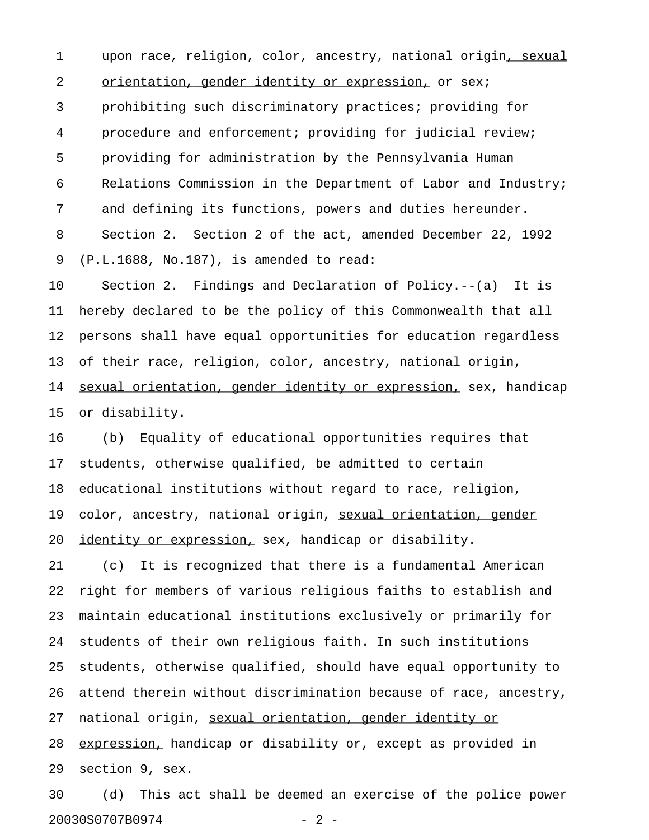1 upon race, religion, color, ancestry, national origin, sexual 2 orientation, gender identity or expression, or sex; 3 prohibiting such discriminatory practices; providing for 4 procedure and enforcement; providing for judicial review; 5 providing for administration by the Pennsylvania Human 6 Relations Commission in the Department of Labor and Industry; 7 and defining its functions, powers and duties hereunder. 8 Section 2. Section 2 of the act, amended December 22, 1992 9 (P.L.1688, No.187), is amended to read:

10 Section 2. Findings and Declaration of Policy.--(a) It is 11 hereby declared to be the policy of this Commonwealth that all 12 persons shall have equal opportunities for education regardless 13 of their race, religion, color, ancestry, national origin, 14 sexual orientation, gender identity or expression, sex, handicap 15 or disability.

16 (b) Equality of educational opportunities requires that 17 students, otherwise qualified, be admitted to certain 18 educational institutions without regard to race, religion, 19 color, ancestry, national origin, sexual orientation, gender 20 identity or expression, sex, handicap or disability.

21 (c) It is recognized that there is a fundamental American 22 right for members of various religious faiths to establish and 23 maintain educational institutions exclusively or primarily for 24 students of their own religious faith. In such institutions 25 students, otherwise qualified, should have equal opportunity to 26 attend therein without discrimination because of race, ancestry, 27 national origin, sexual orientation, gender identity or 28 expression, handicap or disability or, except as provided in 29 section 9, sex.

30 (d) This act shall be deemed an exercise of the police power 20030S0707B0974 - 2 -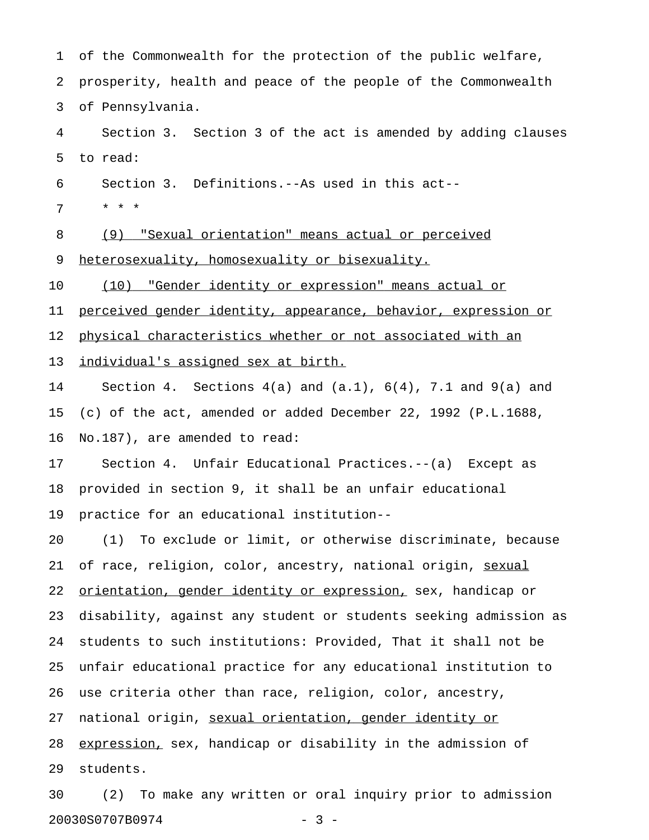| $\mathbf{1}$ | of the Commonwealth for the protection of the public welfare,        |
|--------------|----------------------------------------------------------------------|
| 2            | prosperity, health and peace of the people of the Commonwealth       |
| 3            | of Pennsylvania.                                                     |
| 4            | Section 3. Section 3 of the act is amended by adding clauses         |
| 5            | to read:                                                             |
| 6            | Section 3. Definitions.--As used in this act--                       |
| 7            | $\star$ $\star$ $\star$                                              |
| 8            | (9) "Sexual orientation" means actual or perceived                   |
| 9            | heterosexuality, homosexuality or bisexuality.                       |
| 10           | (10) "Gender identity or expression" means actual or                 |
| 11           | perceived gender identity, appearance, behavior, expression or       |
| 12           | physical characteristics whether or not associated with an           |
| 13           | individual's assigned sex at birth.                                  |
| 14           | Section 4. Sections $4(a)$ and $(a.1)$ , $6(4)$ , 7.1 and $9(a)$ and |
| 15           | (c) of the $act$ , amended or added December 22, 1992 (P.L.1688,     |
| 16           | No.187), are amended to read:                                        |
| 17           | Section 4. Unfair Educational Practices.--(a) Except as              |
| 18           | provided in section 9, it shall be an unfair educational             |
| 19           | practice for an educational institution--                            |
| 20           | To exclude or limit, or otherwise discriminate, because<br>(1)       |
| 21           | of race, religion, color, ancestry, national origin, sexual          |
| 22           | orientation, gender identity or expression, sex, handicap or         |
| 23           | disability, against any student or students seeking admission as     |
| 24           | students to such institutions: Provided, That it shall not be        |
| 25           | unfair educational practice for any educational institution to       |
| 26           | use criteria other than race, religion, color, ancestry,             |
| 27           | national origin, sexual orientation, gender identity or              |
| 28           | expression, sex, handicap or disability in the admission of          |
| 29           | students.                                                            |
| 30           | To make any written or oral inquiry prior to admission<br>(2)        |

20030S0707B0974 - 3 -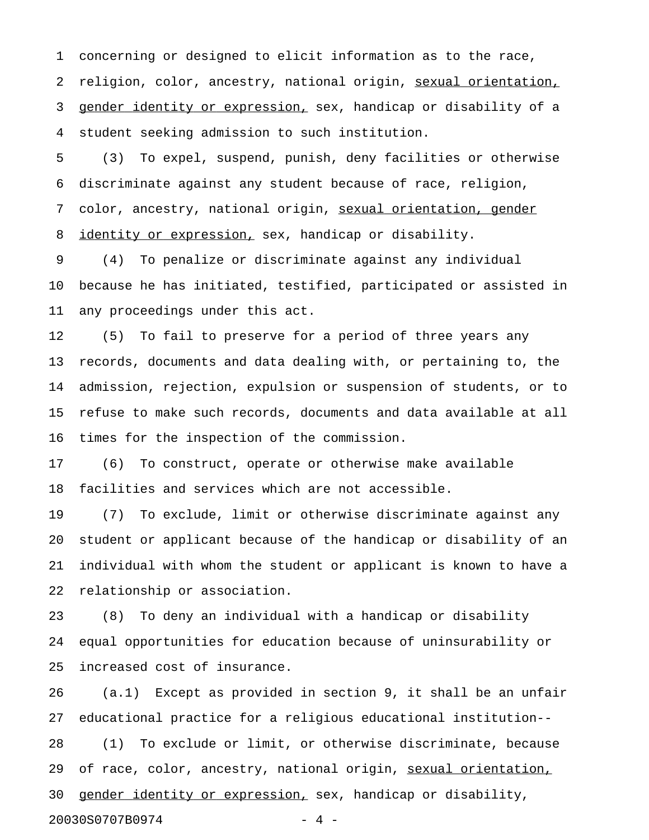1 concerning or designed to elicit information as to the race, 2 religion, color, ancestry, national origin, sexual orientation, 3 gender identity or expression, sex, handicap or disability of a 4 student seeking admission to such institution.

5 (3) To expel, suspend, punish, deny facilities or otherwise 6 discriminate against any student because of race, religion, 7 color, ancestry, national origin, sexual orientation, gender 8 identity or expression, sex, handicap or disability.

9 (4) To penalize or discriminate against any individual 10 because he has initiated, testified, participated or assisted in 11 any proceedings under this act.

12 (5) To fail to preserve for a period of three years any 13 records, documents and data dealing with, or pertaining to, the 14 admission, rejection, expulsion or suspension of students, or to 15 refuse to make such records, documents and data available at all 16 times for the inspection of the commission.

17 (6) To construct, operate or otherwise make available 18 facilities and services which are not accessible.

19 (7) To exclude, limit or otherwise discriminate against any 20 student or applicant because of the handicap or disability of an 21 individual with whom the student or applicant is known to have a 22 relationship or association.

23 (8) To deny an individual with a handicap or disability 24 equal opportunities for education because of uninsurability or 25 increased cost of insurance.

26 (a.1) Except as provided in section 9, it shall be an unfair 27 educational practice for a religious educational institution-- 28 (1) To exclude or limit, or otherwise discriminate, because 29 of race, color, ancestry, national origin, sexual orientation, 30 gender identity or expression, sex, handicap or disability, 20030S0707B0974 - 4 -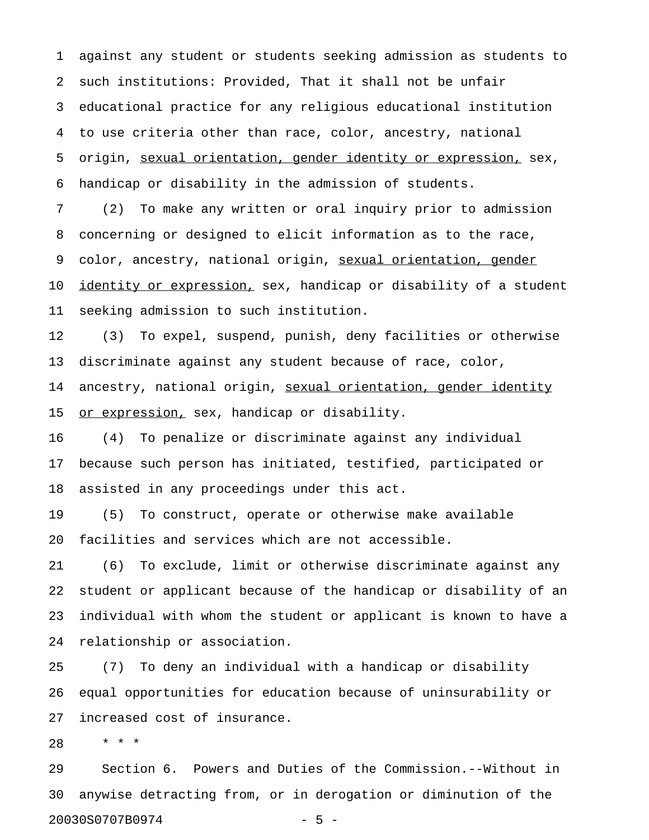1 against any student or students seeking admission as students to 2 such institutions: Provided, That it shall not be unfair 3 educational practice for any religious educational institution 4 to use criteria other than race, color, ancestry, national 5 origin, sexual orientation, gender identity or expression, sex, 6 handicap or disability in the admission of students.

7 (2) To make any written or oral inquiry prior to admission 8 concerning or designed to elicit information as to the race, 9 color, ancestry, national origin, sexual orientation, gender 10 identity or expression, sex, handicap or disability of a student 11 seeking admission to such institution.

12 (3) To expel, suspend, punish, deny facilities or otherwise 13 discriminate against any student because of race, color, 14 ancestry, national origin, sexual orientation, gender identity 15 or expression, sex, handicap or disability.

16 (4) To penalize or discriminate against any individual 17 because such person has initiated, testified, participated or 18 assisted in any proceedings under this act.

19 (5) To construct, operate or otherwise make available 20 facilities and services which are not accessible.

21 (6) To exclude, limit or otherwise discriminate against any 22 student or applicant because of the handicap or disability of an 23 individual with whom the student or applicant is known to have a 24 relationship or association.

25 (7) To deny an individual with a handicap or disability 26 equal opportunities for education because of uninsurability or 27 increased cost of insurance.

28 \* \* \*

29 Section 6. Powers and Duties of the Commission.--Without in 30 anywise detracting from, or in derogation or diminution of the 20030S0707B0974 - 5 -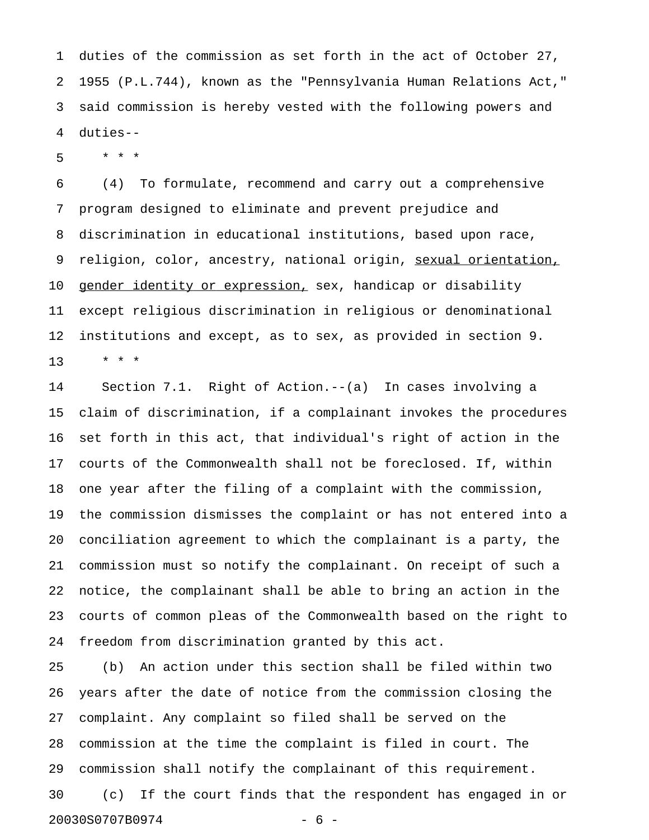1 duties of the commission as set forth in the act of October 27, 2 1955 (P.L.744), known as the "Pennsylvania Human Relations Act," 3 said commission is hereby vested with the following powers and 4 duties--

5 \* \* \*

6 (4) To formulate, recommend and carry out a comprehensive 7 program designed to eliminate and prevent prejudice and 8 discrimination in educational institutions, based upon race, 9 religion, color, ancestry, national origin, sexual orientation, 10 gender identity or expression, sex, handicap or disability 11 except religious discrimination in religious or denominational 12 institutions and except, as to sex, as provided in section 9. 13 \* \* \*

14 Section 7.1. Right of Action.--(a) In cases involving a 15 claim of discrimination, if a complainant invokes the procedures 16 set forth in this act, that individual's right of action in the 17 courts of the Commonwealth shall not be foreclosed. If, within 18 one year after the filing of a complaint with the commission, 19 the commission dismisses the complaint or has not entered into a 20 conciliation agreement to which the complainant is a party, the 21 commission must so notify the complainant. On receipt of such a 22 notice, the complainant shall be able to bring an action in the 23 courts of common pleas of the Commonwealth based on the right to 24 freedom from discrimination granted by this act.

25 (b) An action under this section shall be filed within two 26 years after the date of notice from the commission closing the 27 complaint. Any complaint so filed shall be served on the 28 commission at the time the complaint is filed in court. The 29 commission shall notify the complainant of this requirement. 30 (c) If the court finds that the respondent has engaged in or 20030S0707B0974 - 6 -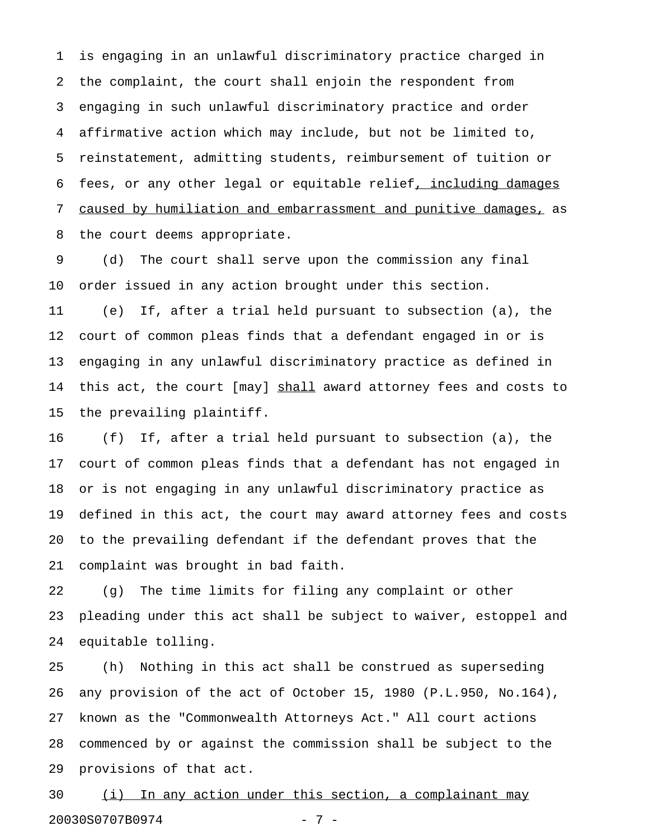1 is engaging in an unlawful discriminatory practice charged in 2 the complaint, the court shall enjoin the respondent from 3 engaging in such unlawful discriminatory practice and order 4 affirmative action which may include, but not be limited to, 5 reinstatement, admitting students, reimbursement of tuition or 6 fees, or any other legal or equitable relief, including damages 7 caused by humiliation and embarrassment and punitive damages, as 8 the court deems appropriate.

9 (d) The court shall serve upon the commission any final 10 order issued in any action brought under this section.

11 (e) If, after a trial held pursuant to subsection (a), the 12 court of common pleas finds that a defendant engaged in or is 13 engaging in any unlawful discriminatory practice as defined in 14 this act, the court [may] shall award attorney fees and costs to 15 the prevailing plaintiff.

16 (f) If, after a trial held pursuant to subsection (a), the 17 court of common pleas finds that a defendant has not engaged in 18 or is not engaging in any unlawful discriminatory practice as 19 defined in this act, the court may award attorney fees and costs 20 to the prevailing defendant if the defendant proves that the 21 complaint was brought in bad faith.

22 (g) The time limits for filing any complaint or other 23 pleading under this act shall be subject to waiver, estoppel and 24 equitable tolling.

25 (h) Nothing in this act shall be construed as superseding 26 any provision of the act of October 15, 1980 (P.L.950, No.164), 27 known as the "Commonwealth Attorneys Act." All court actions 28 commenced by or against the commission shall be subject to the 29 provisions of that act.

30 (i) In any action under this section, a complainant may 20030S0707B0974 - 7 -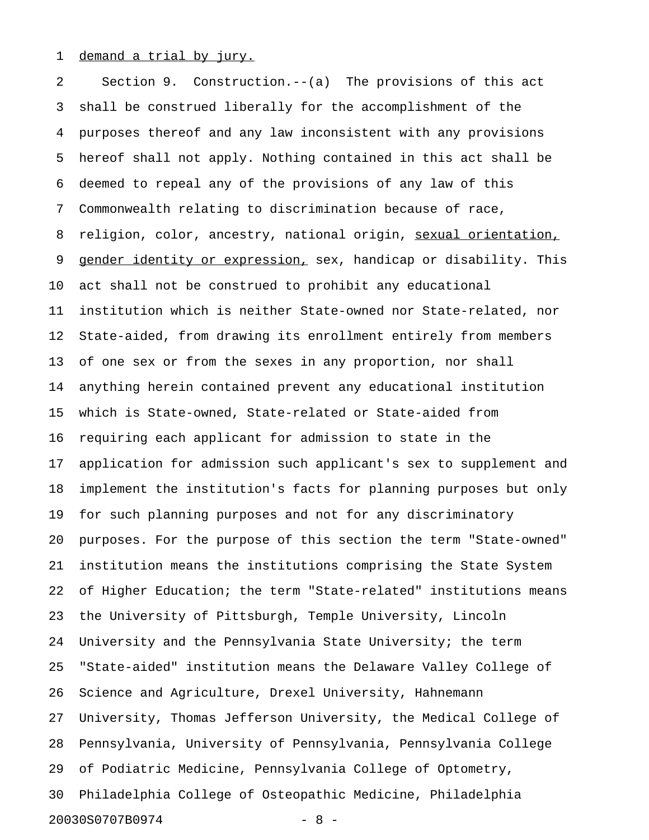## 1 demand a trial by jury.

2 Section 9. Construction.--(a) The provisions of this act 3 shall be construed liberally for the accomplishment of the 4 purposes thereof and any law inconsistent with any provisions 5 hereof shall not apply. Nothing contained in this act shall be 6 deemed to repeal any of the provisions of any law of this 7 Commonwealth relating to discrimination because of race, 8 religion, color, ancestry, national origin, sexual orientation, 9 gender identity or expression, sex, handicap or disability. This 10 act shall not be construed to prohibit any educational 11 institution which is neither State-owned nor State-related, nor 12 State-aided, from drawing its enrollment entirely from members 13 of one sex or from the sexes in any proportion, nor shall 14 anything herein contained prevent any educational institution 15 which is State-owned, State-related or State-aided from 16 requiring each applicant for admission to state in the 17 application for admission such applicant's sex to supplement and 18 implement the institution's facts for planning purposes but only 19 for such planning purposes and not for any discriminatory 20 purposes. For the purpose of this section the term "State-owned" 21 institution means the institutions comprising the State System 22 of Higher Education; the term "State-related" institutions means 23 the University of Pittsburgh, Temple University, Lincoln 24 University and the Pennsylvania State University; the term 25 "State-aided" institution means the Delaware Valley College of 26 Science and Agriculture, Drexel University, Hahnemann 27 University, Thomas Jefferson University, the Medical College of 28 Pennsylvania, University of Pennsylvania, Pennsylvania College 29 of Podiatric Medicine, Pennsylvania College of Optometry, 30 Philadelphia College of Osteopathic Medicine, Philadelphia 20030S0707B0974 - 8 -